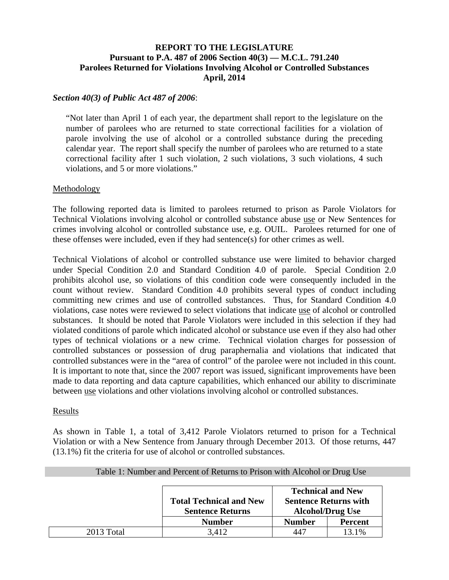# **REPORT TO THE LEGISLATURE Pursuant to P.A. 487 of 2006 Section 40(3) — M.C.L. 791.240 Parolees Returned for Violations Involving Alcohol or Controlled Substances April, 2014**

### *Section 40(3) of Public Act 487 of 2006*:

"Not later than April 1 of each year, the department shall report to the legislature on the number of parolees who are returned to state correctional facilities for a violation of parole involving the use of alcohol or a controlled substance during the preceding calendar year. The report shall specify the number of parolees who are returned to a state correctional facility after 1 such violation, 2 such violations, 3 such violations, 4 such violations, and 5 or more violations."

#### Methodology

The following reported data is limited to parolees returned to prison as Parole Violators for Technical Violations involving alcohol or controlled substance abuse use or New Sentences for crimes involving alcohol or controlled substance use, e.g. OUIL. Parolees returned for one of these offenses were included, even if they had sentence(s) for other crimes as well.

Technical Violations of alcohol or controlled substance use were limited to behavior charged under Special Condition 2.0 and Standard Condition 4.0 of parole. Special Condition 2.0 prohibits alcohol use, so violations of this condition code were consequently included in the count without review. Standard Condition 4.0 prohibits several types of conduct including committing new crimes and use of controlled substances. Thus, for Standard Condition 4.0 violations, case notes were reviewed to select violations that indicate use of alcohol or controlled substances. It should be noted that Parole Violators were included in this selection if they had violated conditions of parole which indicated alcohol or substance use even if they also had other types of technical violations or a new crime. Technical violation charges for possession of controlled substances or possession of drug paraphernalia and violations that indicated that controlled substances were in the "area of control" of the parolee were not included in this count. It is important to note that, since the 2007 report was issued, significant improvements have been made to data reporting and data capture capabilities, which enhanced our ability to discriminate between use violations and other violations involving alcohol or controlled substances.

#### Results

As shown in Table 1, a total of 3,412 Parole Violators returned to prison for a Technical Violation or with a New Sentence from January through December 2013. Of those returns, 447 (13.1%) fit the criteria for use of alcohol or controlled substances.

|            |                                                           | <b>Technical and New</b>                                |                |  |  |
|------------|-----------------------------------------------------------|---------------------------------------------------------|----------------|--|--|
|            | <b>Total Technical and New</b><br><b>Sentence Returns</b> | <b>Sentence Returns with</b><br><b>Alcohol/Drug Use</b> |                |  |  |
|            | <b>Number</b>                                             | <b>Number</b>                                           | <b>Percent</b> |  |  |
| 2013 Total | 3.412                                                     | 447                                                     | 13.1%          |  |  |

### Table 1: Number and Percent of Returns to Prison with Alcohol or Drug Use